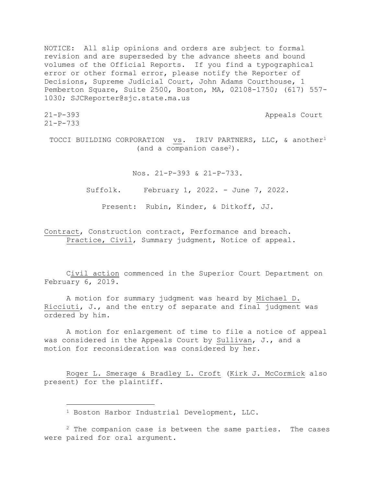NOTICE: All slip opinions and orders are subject to formal revision and are superseded by the advance sheets and bound volumes of the Official Reports. If you find a typographical error or other formal error, please notify the Reporter of Decisions, Supreme Judicial Court, John Adams Courthouse, 1 Pemberton Square, Suite 2500, Boston, MA, 02108-1750; (617) 557- 1030; SJCReporter@sjc.state.ma.us

21-P-733

21-P-393 Appeals Court

TOCCI BUILDING CORPORATION vs. IRIV PARTNERS, LLC, & another<sup>1</sup> (and a companion case2).

Nos. 21-P-393 & 21-P-733.

Suffolk. February 1, 2022. - June 7, 2022.

Present: Rubin, Kinder, & Ditkoff, JJ.

Contract, Construction contract, Performance and breach. Practice, Civil, Summary judgment, Notice of appeal.

Civil action commenced in the Superior Court Department on February 6, 2019.

A motion for summary judgment was heard by Michael D. Ricciuti, J., and the entry of separate and final judgment was ordered by him.

A motion for enlargement of time to file a notice of appeal was considered in the Appeals Court by Sullivan, J., and a motion for reconsideration was considered by her.

Roger L. Smerage & Bradley L. Croft (Kirk J. McCormick also present) for the plaintiff.

<sup>1</sup> Boston Harbor Industrial Development, LLC.

 $2$  The companion case is between the same parties. The cases were paired for oral argument.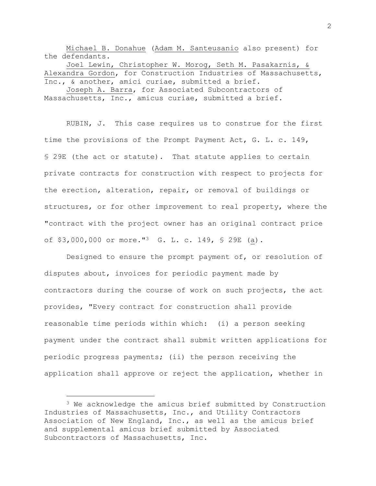Michael B. Donahue (Adam M. Santeusanio also present) for the defendants.

Joel Lewin, Christopher W. Morog, Seth M. Pasakarnis, & Alexandra Gordon, for Construction Industries of Massachusetts, Inc., & another, amici curiae, submitted a brief.

Joseph A. Barra, for Associated Subcontractors of Massachusetts, Inc., amicus curiae, submitted a brief.

RUBIN, J. This case requires us to construe for the first time the provisions of the Prompt Payment Act, G. L. c. 149, § 29E (the act or statute). That statute applies to certain private contracts for construction with respect to projects for the erection, alteration, repair, or removal of buildings or structures, or for other improvement to real property, where the "contract with the project owner has an original contract price of \$3,000,000 or more."<sup>3</sup> G. L. c. 149, § 29E (a).

Designed to ensure the prompt payment of, or resolution of disputes about, invoices for periodic payment made by contractors during the course of work on such projects, the act provides, "Every contract for construction shall provide reasonable time periods within which: (i) a person seeking payment under the contract shall submit written applications for periodic progress payments; (ii) the person receiving the application shall approve or reject the application, whether in

<sup>&</sup>lt;sup>3</sup> We acknowledge the amicus brief submitted by Construction Industries of Massachusetts, Inc., and Utility Contractors Association of New England, Inc., as well as the amicus brief and supplemental amicus brief submitted by Associated Subcontractors of Massachusetts, Inc.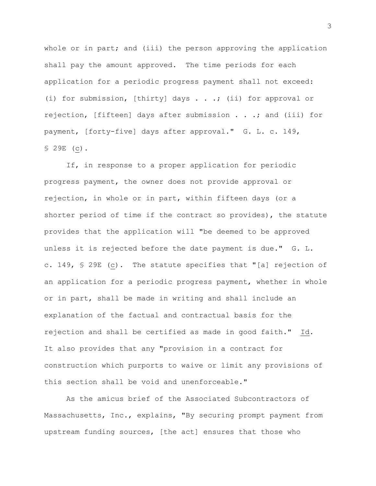whole or in part; and (iii) the person approving the application shall pay the amount approved. The time periods for each application for a periodic progress payment shall not exceed: (i) for submission, [thirty] days . . .; (ii) for approval or rejection, [fifteen] days after submission . . .; and (iii) for payment, [forty-five] days after approval." G. L. c. 149, § 29E (c).

If, in response to a proper application for periodic progress payment, the owner does not provide approval or rejection, in whole or in part, within fifteen days (or a shorter period of time if the contract so provides), the statute provides that the application will "be deemed to be approved unless it is rejected before the date payment is due." G. L. c. 149, § 29E (c). The statute specifies that "[a] rejection of an application for a periodic progress payment, whether in whole or in part, shall be made in writing and shall include an explanation of the factual and contractual basis for the rejection and shall be certified as made in good faith." Id. It also provides that any "provision in a contract for construction which purports to waive or limit any provisions of this section shall be void and unenforceable."

As the amicus brief of the Associated Subcontractors of Massachusetts, Inc., explains, "By securing prompt payment from upstream funding sources, [the act] ensures that those who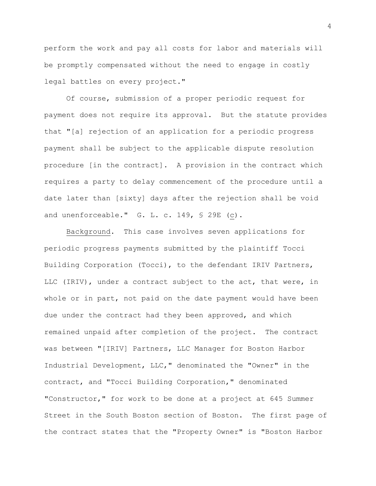perform the work and pay all costs for labor and materials will be promptly compensated without the need to engage in costly legal battles on every project."

Of course, submission of a proper periodic request for payment does not require its approval. But the statute provides that "[a] rejection of an application for a periodic progress payment shall be subject to the applicable dispute resolution procedure [in the contract]. A provision in the contract which requires a party to delay commencement of the procedure until a date later than [sixty] days after the rejection shall be void and unenforceable." G. L. c. 149, § 29E (c).

Background. This case involves seven applications for periodic progress payments submitted by the plaintiff Tocci Building Corporation (Tocci), to the defendant IRIV Partners, LLC (IRIV), under a contract subject to the act, that were, in whole or in part, not paid on the date payment would have been due under the contract had they been approved, and which remained unpaid after completion of the project. The contract was between "[IRIV] Partners, LLC Manager for Boston Harbor Industrial Development, LLC," denominated the "Owner" in the contract, and "Tocci Building Corporation," denominated "Constructor," for work to be done at a project at 645 Summer Street in the South Boston section of Boston. The first page of the contract states that the "Property Owner" is "Boston Harbor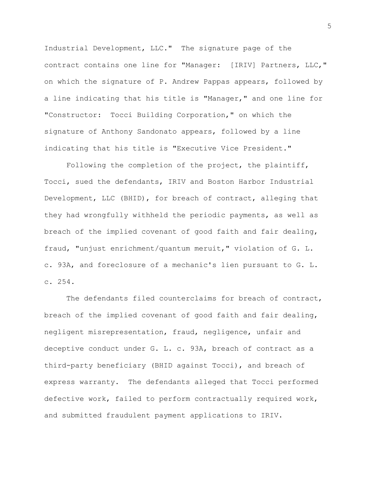Industrial Development, LLC." The signature page of the contract contains one line for "Manager: [IRIV] Partners, LLC," on which the signature of P. Andrew Pappas appears, followed by a line indicating that his title is "Manager," and one line for "Constructor: Tocci Building Corporation," on which the signature of Anthony Sandonato appears, followed by a line indicating that his title is "Executive Vice President."

Following the completion of the project, the plaintiff, Tocci, sued the defendants, IRIV and Boston Harbor Industrial Development, LLC (BHID), for breach of contract, alleging that they had wrongfully withheld the periodic payments, as well as breach of the implied covenant of good faith and fair dealing, fraud, "unjust enrichment/quantum meruit," violation of G. L. c. 93A, and foreclosure of a mechanic's lien pursuant to G. L. c. 254.

The defendants filed counterclaims for breach of contract, breach of the implied covenant of good faith and fair dealing, negligent misrepresentation, fraud, negligence, unfair and deceptive conduct under G. L. c. 93A, breach of contract as a third-party beneficiary (BHID against Tocci), and breach of express warranty. The defendants alleged that Tocci performed defective work, failed to perform contractually required work, and submitted fraudulent payment applications to IRIV.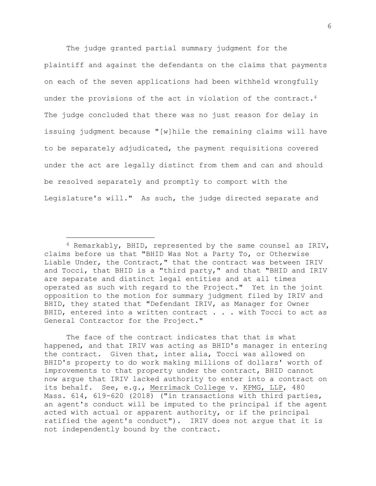The judge granted partial summary judgment for the plaintiff and against the defendants on the claims that payments on each of the seven applications had been withheld wrongfully under the provisions of the act in violation of the contract.<sup>4</sup> The judge concluded that there was no just reason for delay in issuing judgment because "[w]hile the remaining claims will have to be separately adjudicated, the payment requisitions covered under the act are legally distinct from them and can and should be resolved separately and promptly to comport with the Legislature's will." As such, the judge directed separate and

The face of the contract indicates that that is what happened, and that IRIV was acting as BHID's manager in entering the contract. Given that, inter alia, Tocci was allowed on BHID's property to do work making millions of dollars' worth of improvements to that property under the contract, BHID cannot now argue that IRIV lacked authority to enter into a contract on its behalf. See, e.g., Merrimack College v. KPMG, LLP, 480 Mass. 614, 619-620 (2018) ("in transactions with third parties, an agent's conduct will be imputed to the principal if the agent acted with actual or apparent authority, or if the principal ratified the agent's conduct"). IRIV does not argue that it is not independently bound by the contract.

 $4$  Remarkably, BHID, represented by the same counsel as IRIV, claims before us that "BHID Was Not a Party To, or Otherwise Liable Under, the Contract," that the contract was between IRIV and Tocci, that BHID is a "third party," and that "BHID and IRIV are separate and distinct legal entities and at all times operated as such with regard to the Project." Yet in the joint opposition to the motion for summary judgment filed by IRIV and BHID, they stated that "Defendant IRIV, as Manager for Owner BHID, entered into a written contract . . . with Tocci to act as General Contractor for the Project."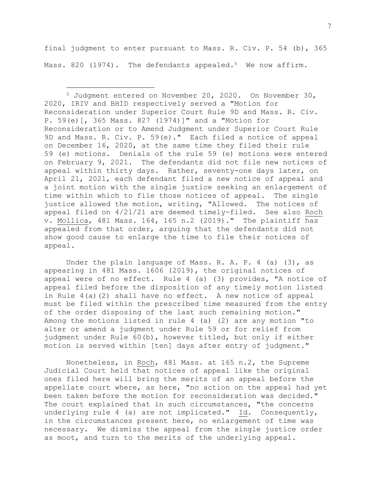final judgment to enter pursuant to Mass. R. Civ. P. 54 (b), 365 Mass. 820 (1974). The defendants appealed.<sup>5</sup> We now affirm.

<sup>5</sup> Judgment entered on November 20, 2020. On November 30, 2020, IRIV and BHID respectively served a "Motion for Reconsideration under Superior Court Rule 9D and Mass. R. Civ. P. 59(e)[, 365 Mass. 827 (1974)]" and a "Motion for Reconsideration or to Amend Judgment under Superior Court Rule 9D and Mass. R. Civ. P. 59(e)." Each filed a notice of appeal on December 16, 2020, at the same time they filed their rule 59 (e) motions. Denials of the rule 59 (e) motions were entered on February 9, 2021. The defendants did not file new notices of appeal within thirty days. Rather, seventy-one days later, on April 21, 2021, each defendant filed a new notice of appeal and a joint motion with the single justice seeking an enlargement of time within which to file those notices of appeal. The single justice allowed the motion, writing, "Allowed. The notices of appeal filed on 4/21/21 are deemed timely-filed. See also Roch v. Mollica, 481 Mass. 164, 165 n.2 (2019)." The plaintiff has appealed from that order, arguing that the defendants did not show good cause to enlarge the time to file their notices of appeal.

Under the plain language of Mass. R. A. P. 4 (a) (3), as appearing in 481 Mass. 1606 (2019), the original notices of appeal were of no effect. Rule 4 (a) (3) provides, "A notice of appeal filed before the disposition of any timely motion listed in Rule 4(a)(2) shall have no effect. A new notice of appeal must be filed within the prescribed time measured from the entry of the order disposing of the last such remaining motion." Among the motions listed in rule 4 (a) (2) are any motion "to alter or amend a judgment under Rule 59 or for relief from judgment under Rule 60(b), however titled, but only if either motion is served within [ten] days after entry of judgment."

Nonetheless, in Roch, 481 Mass. at 165 n.2, the Supreme Judicial Court held that notices of appeal like the original ones filed here will bring the merits of an appeal before the appellate court where, as here, "no action on the appeal had yet been taken before the motion for reconsideration was decided." The court explained that in such circumstances, "the concerns underlying rule 4 (a) are not implicated." Id. Consequently, in the circumstances present here, no enlargement of time was necessary. We dismiss the appeal from the single justice order as moot, and turn to the merits of the underlying appeal.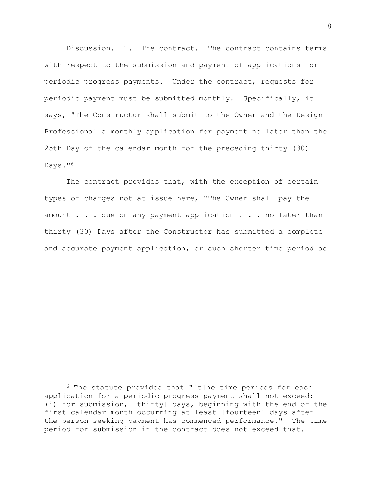Discussion. 1. The contract. The contract contains terms with respect to the submission and payment of applications for periodic progress payments. Under the contract, requests for periodic payment must be submitted monthly. Specifically, it says, "The Constructor shall submit to the Owner and the Design Professional a monthly application for payment no later than the 25th Day of the calendar month for the preceding thirty (30) Days."<sup>6</sup>

The contract provides that, with the exception of certain types of charges not at issue here, "The Owner shall pay the amount . . . due on any payment application . . . no later than thirty (30) Days after the Constructor has submitted a complete and accurate payment application, or such shorter time period as

<sup>6</sup> The statute provides that "[t]he time periods for each application for a periodic progress payment shall not exceed: (i) for submission, [thirty] days, beginning with the end of the first calendar month occurring at least [fourteen] days after the person seeking payment has commenced performance." The time period for submission in the contract does not exceed that.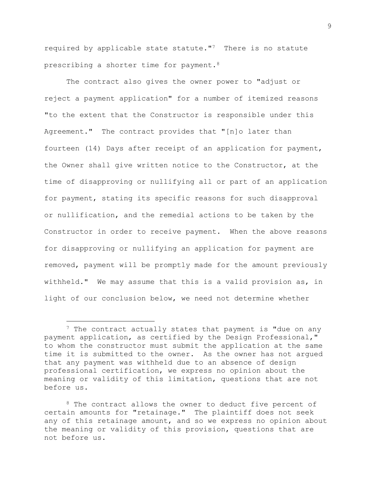required by applicable state statute."<sup>7</sup> There is no statute prescribing a shorter time for payment.<sup>8</sup>

The contract also gives the owner power to "adjust or reject a payment application" for a number of itemized reasons "to the extent that the Constructor is responsible under this Agreement." The contract provides that "[n]o later than fourteen (14) Days after receipt of an application for payment, the Owner shall give written notice to the Constructor, at the time of disapproving or nullifying all or part of an application for payment, stating its specific reasons for such disapproval or nullification, and the remedial actions to be taken by the Constructor in order to receive payment. When the above reasons for disapproving or nullifying an application for payment are removed, payment will be promptly made for the amount previously withheld." We may assume that this is a valid provision as, in light of our conclusion below, we need not determine whether

<sup>&</sup>lt;sup>7</sup> The contract actually states that payment is "due on any payment application, as certified by the Design Professional," to whom the constructor must submit the application at the same time it is submitted to the owner. As the owner has not argued that any payment was withheld due to an absence of design professional certification, we express no opinion about the meaning or validity of this limitation, questions that are not before us.

<sup>&</sup>lt;sup>8</sup> The contract allows the owner to deduct five percent of certain amounts for "retainage." The plaintiff does not seek any of this retainage amount, and so we express no opinion about the meaning or validity of this provision, questions that are not before us.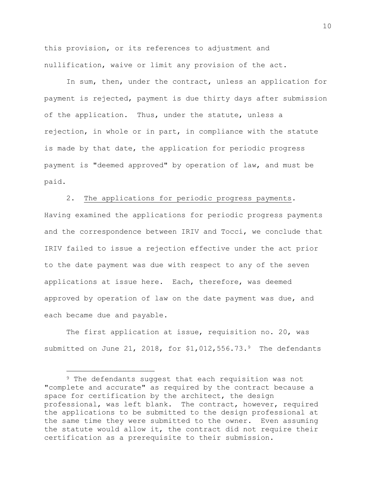this provision, or its references to adjustment and nullification, waive or limit any provision of the act.

In sum, then, under the contract, unless an application for payment is rejected, payment is due thirty days after submission of the application. Thus, under the statute, unless a rejection, in whole or in part, in compliance with the statute is made by that date, the application for periodic progress payment is "deemed approved" by operation of law, and must be paid.

2. The applications for periodic progress payments.

Having examined the applications for periodic progress payments and the correspondence between IRIV and Tocci, we conclude that IRIV failed to issue a rejection effective under the act prior to the date payment was due with respect to any of the seven applications at issue here. Each, therefore, was deemed approved by operation of law on the date payment was due, and each became due and payable.

The first application at issue, requisition no. 20, was submitted on June 21, 2018, for \$1,012,556.73.9 The defendants

<sup>&</sup>lt;sup>9</sup> The defendants suggest that each requisition was not "complete and accurate" as required by the contract because a space for certification by the architect, the design professional, was left blank. The contract, however, required the applications to be submitted to the design professional at the same time they were submitted to the owner. Even assuming the statute would allow it, the contract did not require their certification as a prerequisite to their submission.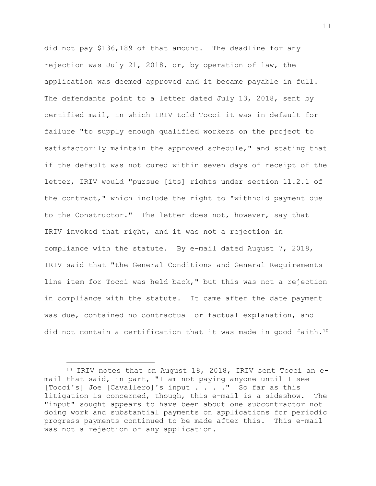did not pay \$136,189 of that amount. The deadline for any rejection was July 21, 2018, or, by operation of law, the application was deemed approved and it became payable in full. The defendants point to a letter dated July 13, 2018, sent by certified mail, in which IRIV told Tocci it was in default for failure "to supply enough qualified workers on the project to satisfactorily maintain the approved schedule," and stating that if the default was not cured within seven days of receipt of the letter, IRIV would "pursue [its] rights under section 11.2.1 of the contract," which include the right to "withhold payment due to the Constructor." The letter does not, however, say that IRIV invoked that right, and it was not a rejection in compliance with the statute. By e-mail dated August 7, 2018, IRIV said that "the General Conditions and General Requirements line item for Tocci was held back," but this was not a rejection in compliance with the statute. It came after the date payment was due, contained no contractual or factual explanation, and did not contain a certification that it was made in good faith.<sup>10</sup>

 $10$  IRIV notes that on August 18, 2018, IRIV sent Tocci an email that said, in part, "I am not paying anyone until I see [Tocci's] Joe [Cavallero]'s input . . . ." So far as this litigation is concerned, though, this e-mail is a sideshow. The "input" sought appears to have been about one subcontractor not doing work and substantial payments on applications for periodic progress payments continued to be made after this. This e-mail was not a rejection of any application.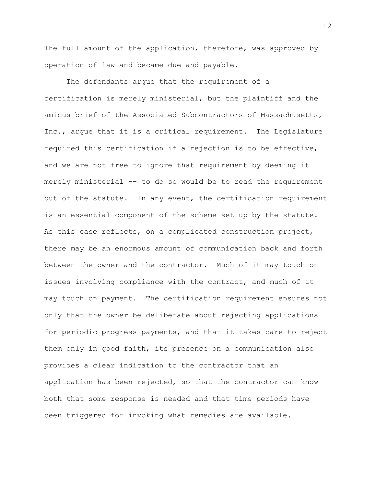The full amount of the application, therefore, was approved by operation of law and became due and payable.

The defendants argue that the requirement of a certification is merely ministerial, but the plaintiff and the amicus brief of the Associated Subcontractors of Massachusetts, Inc., argue that it is a critical requirement. The Legislature required this certification if a rejection is to be effective, and we are not free to ignore that requirement by deeming it merely ministerial –- to do so would be to read the requirement out of the statute. In any event, the certification requirement is an essential component of the scheme set up by the statute. As this case reflects, on a complicated construction project, there may be an enormous amount of communication back and forth between the owner and the contractor. Much of it may touch on issues involving compliance with the contract, and much of it may touch on payment. The certification requirement ensures not only that the owner be deliberate about rejecting applications for periodic progress payments, and that it takes care to reject them only in good faith, its presence on a communication also provides a clear indication to the contractor that an application has been rejected, so that the contractor can know both that some response is needed and that time periods have been triggered for invoking what remedies are available.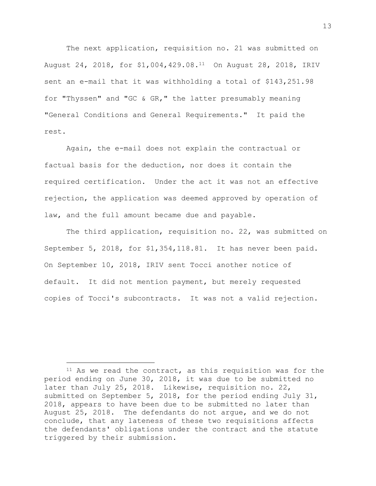The next application, requisition no. 21 was submitted on August 24, 2018, for \$1,004,429.08.11 On August 28, 2018, IRIV sent an e-mail that it was withholding a total of \$143,251.98 for "Thyssen" and "GC & GR," the latter presumably meaning "General Conditions and General Requirements." It paid the rest.

Again, the e-mail does not explain the contractual or factual basis for the deduction, nor does it contain the required certification. Under the act it was not an effective rejection, the application was deemed approved by operation of law, and the full amount became due and payable.

The third application, requisition no. 22, was submitted on September 5, 2018, for \$1,354,118.81. It has never been paid. On September 10, 2018, IRIV sent Tocci another notice of default. It did not mention payment, but merely requested copies of Tocci's subcontracts. It was not a valid rejection.

<sup>&</sup>lt;sup>11</sup> As we read the contract, as this requisition was for the period ending on June 30, 2018, it was due to be submitted no later than July 25, 2018. Likewise, requisition no. 22, submitted on September 5, 2018, for the period ending July 31, 2018, appears to have been due to be submitted no later than August 25, 2018. The defendants do not argue, and we do not conclude, that any lateness of these two requisitions affects the defendants' obligations under the contract and the statute triggered by their submission.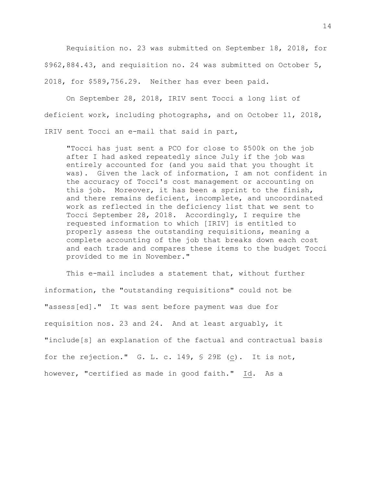Requisition no. 23 was submitted on September 18, 2018, for \$962,884.43, and requisition no. 24 was submitted on October 5, 2018, for \$589,756.29. Neither has ever been paid.

On September 28, 2018, IRIV sent Tocci a long list of deficient work, including photographs, and on October 11, 2018, IRIV sent Tocci an e-mail that said in part,

"Tocci has just sent a PCO for close to \$500k on the job after I had asked repeatedly since July if the job was entirely accounted for (and you said that you thought it was). Given the lack of information, I am not confident in the accuracy of Tocci's cost management or accounting on this job. Moreover, it has been a sprint to the finish, and there remains deficient, incomplete, and uncoordinated work as reflected in the deficiency list that we sent to Tocci September 28, 2018. Accordingly, I require the requested information to which [IRIV] is entitled to properly assess the outstanding requisitions, meaning a complete accounting of the job that breaks down each cost and each trade and compares these items to the budget Tocci provided to me in November."

This e-mail includes a statement that, without further information, the "outstanding requisitions" could not be "assess[ed]." It was sent before payment was due for requisition nos. 23 and 24. And at least arguably, it "include[s] an explanation of the factual and contractual basis for the rejection." G. L. c. 149, § 29E (c). It is not, however, "certified as made in good faith." Id. As a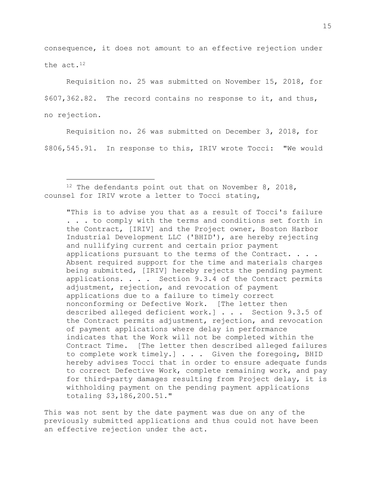consequence, it does not amount to an effective rejection under the act.<sup>12</sup>

Requisition no. 25 was submitted on November 15, 2018, for \$607,362.82. The record contains no response to it, and thus, no rejection.

Requisition no. 26 was submitted on December 3, 2018, for \$806,545.91. In response to this, IRIV wrote Tocci: "We would

 $12$  The defendants point out that on November 8, 2018, counsel for IRIV wrote a letter to Tocci stating,

"This is to advise you that as a result of Tocci's failure . . . to comply with the terms and conditions set forth in the Contract, [IRIV] and the Project owner, Boston Harbor Industrial Development LLC ('BHID'), are hereby rejecting and nullifying current and certain prior payment applications pursuant to the terms of the Contract. . . . Absent required support for the time and materials charges being submitted, [IRIV] hereby rejects the pending payment applications. . . . Section 9.3.4 of the Contract permits adjustment, rejection, and revocation of payment applications due to a failure to timely correct nonconforming or Defective Work. [The letter then described alleged deficient work.] . . . Section 9.3.5 of the Contract permits adjustment, rejection, and revocation of payment applications where delay in performance indicates that the Work will not be completed within the Contract Time. [The letter then described alleged failures to complete work timely.] . . . Given the foregoing, BHID hereby advises Tocci that in order to ensure adequate funds to correct Defective Work, complete remaining work, and pay for third-party damages resulting from Project delay, it is withholding payment on the pending payment applications totaling \$3,186,200.51."

This was not sent by the date payment was due on any of the previously submitted applications and thus could not have been an effective rejection under the act.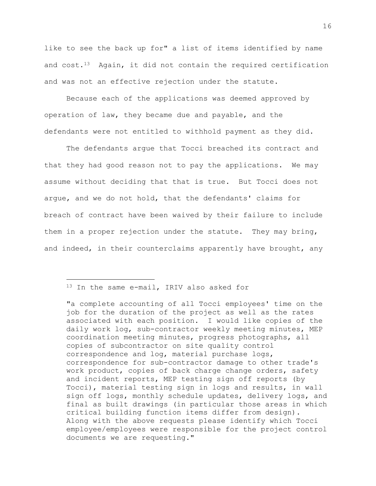like to see the back up for" a list of items identified by name and cost.13 Again, it did not contain the required certification and was not an effective rejection under the statute.

Because each of the applications was deemed approved by operation of law, they became due and payable, and the defendants were not entitled to withhold payment as they did.

The defendants argue that Tocci breached its contract and that they had good reason not to pay the applications. We may assume without deciding that that is true. But Tocci does not argue, and we do not hold, that the defendants' claims for breach of contract have been waived by their failure to include them in a proper rejection under the statute. They may bring, and indeed, in their counterclaims apparently have brought, any

<sup>13</sup> In the same e-mail, IRIV also asked for

<sup>&</sup>quot;a complete accounting of all Tocci employees' time on the job for the duration of the project as well as the rates associated with each position. I would like copies of the daily work log, sub-contractor weekly meeting minutes, MEP coordination meeting minutes, progress photographs, all copies of subcontractor on site quality control correspondence and log, material purchase logs, correspondence for sub-contractor damage to other trade's work product, copies of back charge change orders, safety and incident reports, MEP testing sign off reports (by Tocci), material testing sign in logs and results, in wall sign off logs, monthly schedule updates, delivery logs, and final as built drawings (in particular those areas in which critical building function items differ from design). Along with the above requests please identify which Tocci employee/employees were responsible for the project control documents we are requesting."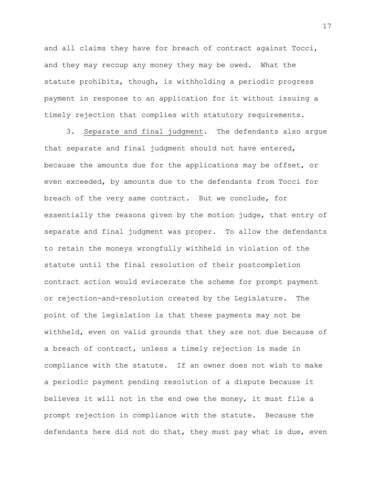and all claims they have for breach of contract against Tocci, and they may recoup any money they may be owed. What the statute prohibits, though, is withholding a periodic progress payment in response to an application for it without issuing a timely rejection that complies with statutory requirements.

3. Separate and final judgment. The defendants also argue that separate and final judgment should not have entered, because the amounts due for the applications may be offset, or even exceeded, by amounts due to the defendants from Tocci for breach of the very same contract. But we conclude, for essentially the reasons given by the motion judge, that entry of separate and final judgment was proper. To allow the defendants to retain the moneys wrongfully withheld in violation of the statute until the final resolution of their postcompletion contract action would eviscerate the scheme for prompt payment or rejection-and-resolution created by the Legislature. The point of the legislation is that these payments may not be withheld, even on valid grounds that they are not due because of a breach of contract, unless a timely rejection is made in compliance with the statute. If an owner does not wish to make a periodic payment pending resolution of a dispute because it believes it will not in the end owe the money, it must file a prompt rejection in compliance with the statute. Because the defendants here did not do that, they must pay what is due, even